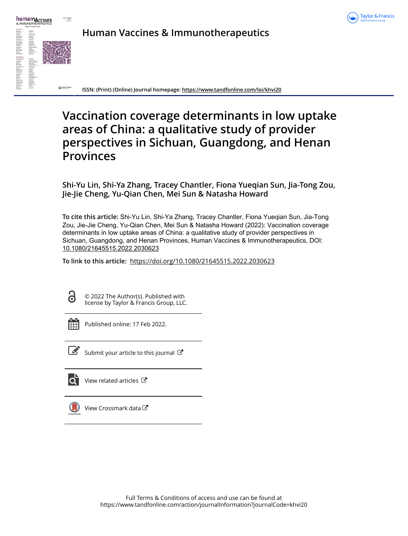



**Human Vaccines & Immunotherapeutics**

**ISSN: (Print) (Online) Journal homepage:<https://www.tandfonline.com/loi/khvi20>**

# **Vaccination coverage determinants in low uptake areas of China: a qualitative study of provider perspectives in Sichuan, Guangdong, and Henan Provinces**

**Shi-Yu Lin, Shi-Ya Zhang, Tracey Chantler, Fiona Yueqian Sun, Jia-Tong Zou, Jie-Jie Cheng, Yu-Qian Chen, Mei Sun & Natasha Howard**

**To cite this article:** Shi-Yu Lin, Shi-Ya Zhang, Tracey Chantler, Fiona Yueqian Sun, Jia-Tong Zou, Jie-Jie Cheng, Yu-Qian Chen, Mei Sun & Natasha Howard (2022): Vaccination coverage determinants in low uptake areas of China: a qualitative study of provider perspectives in Sichuan, Guangdong, and Henan Provinces, Human Vaccines & Immunotherapeutics, DOI: [10.1080/21645515.2022.2030623](https://www.tandfonline.com/action/showCitFormats?doi=10.1080/21645515.2022.2030623)

**To link to this article:** <https://doi.org/10.1080/21645515.2022.2030623>



© 2022 The Author(s). Published with license by Taylor & Francis Group, LLC.



Published online: 17 Feb 2022.



 $\overrightarrow{S}$  [Submit your article to this journal](https://www.tandfonline.com/action/authorSubmission?journalCode=khvi20&show=instructions)  $\overrightarrow{S}$ 



View related articles



[View Crossmark data](http://crossmark.crossref.org/dialog/?doi=10.1080/21645515.2022.2030623&domain=pdf&date_stamp=2022-02-17)<sup>C</sup>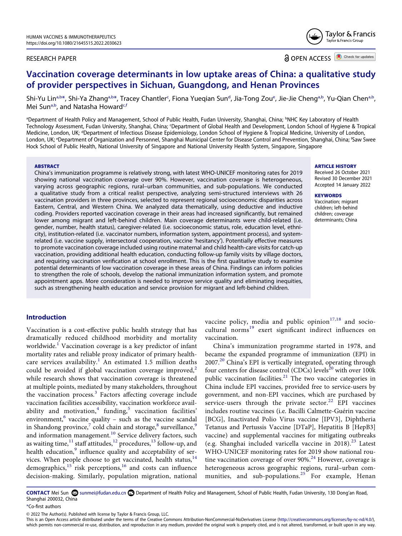#### RESEARCH PAPER

Taylor & Francis Group

Taylor & Francis

**a** OPEN ACCESS **a** Check for updates

# **Vaccination coverage determinants in low uptake areas of China: a qualitative study of provider perspectives in Sichuan, Guangdong, and Henan Provinces**

Shi-Yu Lin<sup>a,b</sup>[\\*](#page-1-1), Shi-Ya Zhang<sup>[a,b](#page-1-0)</sup>[\\*,](#page-1-1) Tracey Chantler<sup>c</sup>, Fiona Yueqian Sun<sup>[d](#page-1-3)</sup>, Jia-Tong Zou<sup>e</sup>, Jie-Jie Cheng<sup>a,b</sup>, Yu-Qian Chen<sup>a,b</sup>, Mei Sun<sup>[a,b](#page-1-0)</sup>, and Natasha Howard<sup>[c](#page-1-2)[,f](#page-1-4)</sup>

<span id="page-1-4"></span><span id="page-1-3"></span><span id="page-1-2"></span><span id="page-1-0"></span><sup>a</sup>Department of Health Policy and Management, School of Public Health, Fudan University, Shanghai, China; <sup>b</sup>NHC Key Laboratory of Health Technology Assessment, Fudan University, Shanghai, China; <sup>c</sup>Department of Global Health and Development, London School of Hygiene & Tropical Medicine, London, UK; <sup>a</sup>Department of Infectious Disease Epidemiology, London School of Hygiene & Tropical Medicine, University of London, London, UK; <sup>e</sup>Department of Organization and Personnel, Shanghai Municipal Center for Disease Control and Prevention, Shanghai, China; <sup>r</sup>Saw Swee Hock School of Public Health, National University of Singapore and National University Health System, Singapore, Singapore

#### **ABSTRACT**

China's immunization programme is relatively strong, with latest WHO-UNICEF monitoring rates for 2019 showing national vaccination coverage over 90%. However, vaccination coverage is heterogeneous, varying across geographic regions, rural–urban communities, and sub-populations. We conducted a qualitative study from a critical realist perspective, analyzing semi-structured interviews with 26 vaccination providers in three provinces, selected to represent regional socioeconomic disparities across Eastern, Central, and Western China. We analyzed data thematically, using deductive and inductive coding. Providers reported vaccination coverage in their areas had increased significantly, but remained lower among migrant and left-behind children. Main coverage determinants were child-related (i.e. gender, number, health status), caregiver-related (i.e. socioeconomic status, role, education level, ethnicity), institution-related (i.e. vaccinator numbers, information system, appointment process), and systemrelated (i.e. vaccine supply, intersectoral cooperation, vaccine 'hesitancy'). Potentially effective measures to promote vaccination coverage included using routine maternal and child health-care visits for catch-up vaccination, providing additional health education, conducting follow-up family visits by village doctors, and requiring vaccination verification at school enrollment. This is the first qualitative study to examine potential determinants of low vaccination coverage in these areas of China. Findings can inform policies to strengthen the role of schools, develop the national immunization information system, and promote appointment apps. More consideration is needed to improve service quality and eliminating inequities, such as strengthening health education and service provision for migrant and left-behind children.

# **ARTICLE HISTORY**

Received 26 October 2021 Revised 30 December 2021 Accepted 14 January 2022

#### **KEYWORDS**

Vaccination; migrant children; left-behind children; coverage determinants; China

# **Introduction**

<span id="page-1-8"></span><span id="page-1-7"></span><span id="page-1-6"></span><span id="page-1-5"></span>Vaccination is a cost-effective public health strategy that has dramatically reduced childhood morbidity and mortality worldwide.<sup>[1](#page-8-0)</sup> Vaccination coverage is a key predictor of infant mortality rates and reliable proxy indicator of primary healthcare services availability.<sup>1</sup> An estimated 1.5 million deaths could be avoided if global vaccination coverage improved, $2$ while research shows that vaccination coverage is threatened at multiple points, mediated by many stakeholders, throughout the vaccination process. $3$  Factors affecting coverage include vaccination facilities accessibility, vaccination workforce avail-ability and motivation,<sup>[4](#page-8-3)</sup> funding,<sup>[5](#page-8-4)</sup> vaccination facilities' environment, $6$  vaccine quality – such as the vaccine scandal in Shandong province, $7$  cold chain and storage, $8$  surveillance, $9$ and information management.<sup>10</sup> Service delivery factors, such as waiting time,  $^{11}$  staff attitudes,  $^{12}$  procedures,  $^{13}$  follow-up, and health education,<sup>9</sup> influence quality and acceptability of services. When people choose to get vaccinated, health status,  $14$ demographics,<sup>15</sup> risk perceptions,<sup>16</sup> and costs can influence decision-making. Similarly, population migration, national

<span id="page-1-17"></span><span id="page-1-16"></span>vaccine policy, media and public opinion<sup>[17,](#page-8-16)[18](#page-8-17)</sup> and sociocultural norms<sup>19</sup> exert significant indirect influences on vaccination.

<span id="page-1-23"></span><span id="page-1-22"></span><span id="page-1-21"></span><span id="page-1-20"></span><span id="page-1-19"></span><span id="page-1-18"></span>China's immunization programme started in 1978, and became the expanded programme of immunization (EPI) in 2007.[20](#page-8-19) China's EPI is vertically integrated, operating through four centers for disease control (CDCs) levels<sup>20</sup> with over 100k public vaccination facilities.<sup>[21](#page-8-20)</sup> The two vaccine categories in China include EPI vaccines, provided free to service-users by government, and non-EPI vaccines, which are purchased by service-users through the private sector.<sup>[22](#page-8-21)</sup> EPI vaccines includes routine vaccines (i.e. Bacilli Calmette-Guérin vaccine [BCG], Inactivated Polio Virus vaccine [IPV3], Diphtheria Tetanus and Pertussis Vaccine [DTaP], Hepatitis B [HepB3] vaccine) and supplemental vaccines for mitigating outbreaks (e.g. Shanghai included varicella vaccine in  $2018$ ).<sup>[23](#page-8-22)</sup> Latest WHO-UNICEF monitoring rates for 2019 show national routine vaccination coverage of over  $90\%$ .<sup>[24](#page-9-0)</sup> However, coverage is heterogeneous across geographic regions, rural–urban com-munities, and sub-populations.<sup>[25](#page-9-1)</sup> For example, Henan

<span id="page-1-15"></span><span id="page-1-14"></span><span id="page-1-13"></span><span id="page-1-12"></span><span id="page-1-11"></span><span id="page-1-10"></span><span id="page-1-9"></span>CONTACT Mei Sun **S**unmei@fudan.edu.cn **D**epartment of Health Policy and Management, School of Public Health, Fudan University, 130 Dong'an Road, Shanghai 200032, China

<span id="page-1-1"></span>\*Co-first authors

© 2022 The Author(s). Published with license by Taylor & Francis Group, LLC.

This is an Open Access article distributed under the terms of the Creative Commons Attribution-NonCommercial-NoDerivatives License (http://creativecommons.org/licenses/by-nc-nd/4.0/), which permits non-commercial re-use, distribution, and reproduction in any medium, provided the original work is properly cited, and is not altered, transformed, or built upon in any way.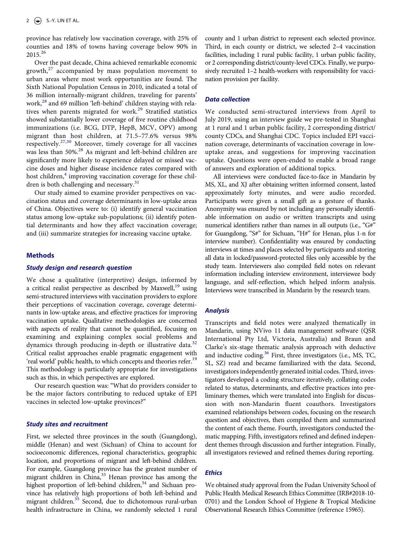province has relatively low vaccination coverage, with 25% of counties and 18% of towns having coverage below 90% in  $2015^{26}$  $2015^{26}$  $2015^{26}$ 

<span id="page-2-3"></span><span id="page-2-0"></span>Over the past decade, China achieved remarkable economic growth, $27$  accompanied by mass population movement to urban areas where most work opportunities are found. The Sixth National Population Census in 2010, indicated a total of 36 million internally-migrant children, traveling for parents' work,<sup>[28](#page-9-4)</sup> and 69 million 'left-behind' children staying with relatives when parents migrated for work.<sup>29</sup> Stratified statistics showed substantially lower coverage of five routine childhood immunizations (i.e. BCG, DTP, HepB, MCV, OPV) among migrant than host children, at 71.5–77.6% versus 98% respectively.[27](#page-9-3)[,30](#page-9-6) Moreover, timely coverage for all vaccines was less than 50%.<sup>28</sup> As migrant and left-behind children are significantly more likely to experience delayed or missed vaccine doses and higher disease incidence rates compared with host children,<sup>4</sup> improving vaccination coverage for these children is both challenging and necessary. $31$ 

<span id="page-2-4"></span><span id="page-2-2"></span><span id="page-2-1"></span>Our study aimed to examine provider perspectives on vaccination status and coverage determinants in low-uptake areas of China. Objectives were to: (i) identify general vaccination status among low-uptake sub-populations; (ii) identify potential determinants and how they affect vaccination coverage; and (iii) summarize strategies for increasing vaccine uptake.

#### **Methods**

# *Study design and research question*

We chose a qualitative (interpretive) design, informed by a critical realist perspective as described by Maxwell, $19$  using semi-structured interviews with vaccination providers to explore their perceptions of vaccination coverage, coverage determinants in low-uptake areas, and effective practices for improving vaccination uptake. Qualitative methodologies are concerned with aspects of reality that cannot be quantified, focusing on examining and explaining complex social problems and dynamics through producing in-depth or illustrative data. $32$ Critical realist approaches enable pragmatic engagement with 'real world' public health, to which concepts and theories refer.<sup>19</sup> This methodology is particularly appropriate for investigations such as this, in which perspectives are explored.

<span id="page-2-5"></span>Our research question was: "What do providers consider to be the major factors contributing to reduced uptake of EPI vaccines in selected low-uptake provinces?"

#### *Study sites and recruitment*

<span id="page-2-8"></span><span id="page-2-7"></span><span id="page-2-6"></span>First, we selected three provinces in the south (Guangdong), middle (Henan) and west (Sichuan) of China to account for socioeconomic differences, regional characteristics, geographic location, and proportions of migrant and left-behind children. For example, Guangdong province has the greatest number of migrant children in China,<sup>33</sup> Henan province has among the highest proportion of left-behind children,<sup>34</sup> and Sichuan province has relatively high proportions of both left-behind and migrant children.<sup>35</sup> Second, due to dichotomous rural-urban health infrastructure in China, we randomly selected 1 rural

county and 1 urban district to represent each selected province. Third, in each county or district, we selected 2–4 vaccination facilities, including 1 rural public facility, 1 urban public facility, or 2 corresponding district/county-level CDCs. Finally, we purposively recruited 1–2 health-workers with responsibility for vaccination provision per facility.

#### *Data collection*

We conducted semi-structured interviews from April to July 2019, using an interview guide we pre-tested in Shanghai at 1 rural and 1 urban public facility, 2 corresponding district/ county CDCs, and Shanghai CDC. Topics included EPI vaccination coverage, determinants of vaccination coverage in lowuptake areas, and suggestions for improving vaccination uptake. Questions were open-ended to enable a broad range of answers and exploration of additional topics.

All interviews were conducted face-to-face in Mandarin by MS, XL, and XJ after obtaining written informed consent, lasted approximately forty minutes, and were audio recorded. Participants were given a small gift as a gesture of thanks. Anonymity was ensured by not including any personally identifiable information on audio or written transcripts and using numerical identifiers rather than names in all outputs (i.e., "G#" for Guangdong, "S#" for Sichuan, "H#" for Henan, plus 1-n for interview number). Confidentiality was ensured by conducting interviews at times and places selected by participants and storing all data in locked/password-protected files only accessible by the study team. Interviewers also compiled field notes on relevant information including interview environment, interviewee body language, and self-reflection, which helped inform analysis. Interviews were transcribed in Mandarin by the research team.

#### *Analysis*

<span id="page-2-9"></span>Transcripts and field notes were analyzed thematically in Mandarin, using NVivo 11 data management software (QSR International Pty Ltd, Victoria, Australia) and Braun and Clarke's six-stage thematic analysis approach with deductive and inductive coding.<sup>36</sup> First, three investigators (i.e., MS, TC, SL, SZ) read and became familiarized with the data. Second, investigators independently generated initial codes. Third, investigators developed a coding structure iteratively, collating codes related to status, determinants, and effective practices into preliminary themes, which were translated into English for discussion with non-Mandarin fluent coauthors. Investigators examined relationships between codes, focusing on the research question and objectives, then compiled them and summarized the content of each theme. Fourth, investigators conducted thematic mapping. Fifth, investigators refined and defined independent themes through discussion and further integration. Finally, all investigators reviewed and refined themes during reporting.

# *Ethics*

We obtained study approval from the Fudan University School of Public Health Medical Research Ethics Committee (IRB#2018-10- 0701) and the London School of Hygiene & Tropical Medicine Observational Research Ethics Committee (reference 15965).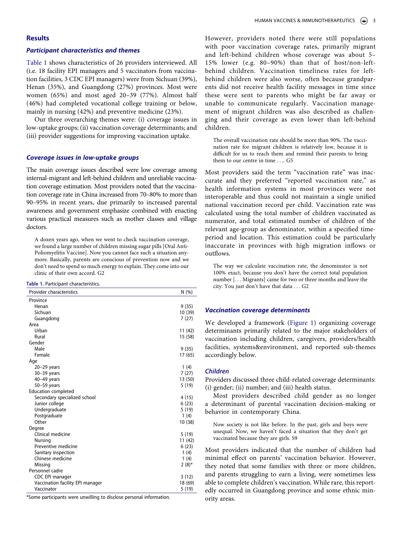# **Results**

#### *Participant characteristics and themes*

[Table 1](#page-3-0) shows characteristics of 26 providers interviewed. All (i.e. 18 facility EPI managers and 5 vaccinators from vaccination facilities, 3 CDC EPI managers) were from Sichuan (39%), Henan (35%), and Guangdong (27%) provinces. Most were women (65%) and most aged 20–39 (77%). Almost half (46%) had completed vocational college training or below, mainly in nursing (42%) and preventive medicine (23%).

Our three overarching themes were: (i) coverage issues in low-uptake groups; (ii) vaccination coverage determinants; and (iii) provider suggestions for improving vaccination uptake.

#### *Coverage issues in low-uptake groups*

The main coverage issues described were low coverage among internal-migrant and left-behind children and unreliable vaccination coverage estimation. Most providers noted that the vaccination coverage rate in China increased from 70–80% to more than 90–95% in recent years, due primarily to increased parental awareness and government emphasize combined with enacting various practical measures such as mother classes and village doctors.

A dozen years ago, when we went to check vaccination coverage, we found a large number of children missing sugar pills [Oral Anti-Poliomyelitis Vaccine]. Now you cannot face such a situation anymore. Basically, parents are conscious of prevention now and we don't need to spend so much energy to explain. They come into our clinic of their own accord. G2

<span id="page-3-0"></span>

| Table 1. Participant characteristics. |  |
|---------------------------------------|--|
|---------------------------------------|--|

| Provider characteristics         | N(%)     |
|----------------------------------|----------|
| Province                         |          |
| Henan                            | 9(35)    |
| Sichuan                          | 10 (39)  |
| Guangdong                        | 7(27)    |
| Area                             |          |
| Urban                            | 11 (42)  |
| Rural                            | 15 (58)  |
| Gender                           |          |
| Male                             | 9(35)    |
| Female                           | 17 (65)  |
| Age                              |          |
| $20-29$ years                    | 1 $(4)$  |
| $30-39$ years                    | 7(27)    |
| 40-49 years                      | 13 (50)  |
| 50-59 years                      | 5(19)    |
| <b>Education completed</b>       |          |
| Secondary specialized school     | 4(15)    |
| Junior college                   | 6(23)    |
| Undergraduate                    | 5(19)    |
| Postgraduate                     | 1(4)     |
| Other                            | 10 (38)  |
| Degree                           |          |
| Clinical medicine                | 5(19)    |
| Nursing                          | 11 (42)  |
| Preventive medicine              | 6(23)    |
| Sanitary inspection              | 1(4)     |
| Chinese medicine                 | 1(4)     |
| Missing                          | $2(8)$ * |
| Personnel cadre                  |          |
| CDC EPI manager                  | 3(12)    |
| Vaccination facility EPI manager | 18 (69)  |
| Vaccinator                       | 5 (19)   |

\*Some participants were unwilling to disclose personal information.

However, providers noted there were still populations with poor vaccination coverage rates, primarily migrant and left-behind children whose coverage was about 5– 15% lower (e.g. 80–90%) than that of host/non-leftbehind children. Vaccination timeliness rates for leftbehind children were also worse, often because grandparents did not receive health facility messages in time since these were sent to parents who might be far away or unable to communicate regularly. Vaccination management of migrant children was also described as challenging and their coverage as even lower than left-behind children.

The overall vaccination rate should be more than 90%. The vaccination rate for migrant children is relatively low, because it is difficult for us to reach them and remind their parents to bring them to our centre in time . . .. G5

Most providers said the term "vaccination rate" was inaccurate and they preferred "reported vaccination rate," as health information systems in most provinces were not interoperable and thus could not maintain a single unified national vaccination record per child. Vaccination rate was calculated using the total number of children vaccinated as numerator, and total estimated number of children of the relevant age-group as denominator, within a specified timeperiod and location. This estimation could be particularly inaccurate in provinces with high migration inflows or outflows.

The way we calculate vaccination rate, the denominator is not 100% exact, because you don't have the correct total population number [. . . Migrants] came for two or three months and leave the city. You just don't have that data . . . G2

#### *Vaccination coverage determinants*

We developed a framework [\(Figure 1\)](#page-4-0) organizing coverage determinants primarily related to the major stakeholders of vaccination including children, caregivers, providers/health facilities, systems&environment, and reported sub-themes accordingly below.

#### *Children*

Providers discussed three child-related coverage determinants: (i) gender; (ii) number; and (iii) health status.

Most providers described child gender as no longer a determinant of parental vaccination decision-making or behavior in contemporary China.

Now society is not like before. In the past, girls and boys were unequal. Now, we haven't faced a situation that they don't get vaccinated because they are girls. S9

Most providers indicated that the number of children had minimal effect on parents' vaccination behavior. However, they noted that some families with three or more children, and parents struggling to earn a living, were sometimes less able to complete children's vaccination. While rare, this reportedly occurred in Guangdong province and some ethnic minority areas.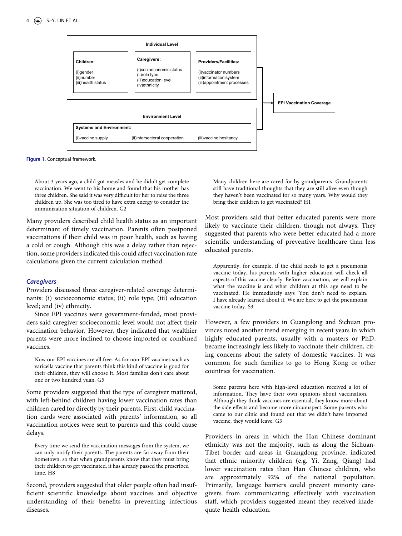<span id="page-4-0"></span>

**Figure 1.** Conceptual framework.

About 3 years ago, a child got measles and he didn't get complete vaccination. We went to his home and found that his mother has three children. She said it was very difficult for her to raise the three children up. She was too tired to have extra energy to consider the immunization situation of children. G2

Many providers described child health status as an important determinant of timely vaccination. Parents often postponed vaccinations if their child was in poor health, such as having a cold or cough. Although this was a delay rather than rejection, some providers indicated this could affect vaccination rate calculations given the current calculation method.

#### *Caregivers*

Providers discussed three caregiver-related coverage determinants: (i) socioeconomic status; (ii) role type; (iii) education level; and (iv) ethnicity.

Since EPI vaccines were government-funded, most providers said caregiver socioeconomic level would not affect their vaccination behavior. However, they indicated that wealthier parents were more inclined to choose imported or combined vaccines.

Now our EPI vaccines are all free. As for non-EPI vaccines such as varicella vaccine that parents think this kind of vaccine is good for their children, they will choose it. Most families don't care about one or two hundred yuan. G5

Some providers suggested that the type of caregiver mattered, with left-behind children having lower vaccination rates than children cared for directly by their parents. First, child vaccination cards were associated with parents' information, so all vaccination notices were sent to parents and this could cause delays.

Every time we send the vaccination messages from the system, we can only notify their parents. The parents are far away from their hometown, so that when grandparents know that they must bring their children to get vaccinated, it has already passed the prescribed time. H8

Second, providers suggested that older people often had insufficient scientific knowledge about vaccines and objective understanding of their benefits in preventing infectious diseases.

Many children here are cared for by grandparents. Grandparents still have traditional thoughts that they are still alive even though they haven't been vaccinated for so many years. Why would they bring their children to get vaccinated? H1

Most providers said that better educated parents were more likely to vaccinate their children, though not always. They suggested that parents who were better educated had a more scientific understanding of preventive healthcare than less educated parents.

Apparently, for example, if the child needs to get a pneumonia vaccine today, his parents with higher education will check all aspects of this vaccine clearly. Before vaccination, we will explain what the vaccine is and what children at this age need to be vaccinated. He immediately says 'You don't need to explain. I have already learned about it. We are here to get the pneumonia vaccine today. S3

However, a few providers in Guangdong and Sichuan provinces noted another trend emerging in recent years in which highly educated parents, usually with a masters or PhD, became increasingly less likely to vaccinate their children, citing concerns about the safety of domestic vaccines. It was common for such families to go to Hong Kong or other countries for vaccination.

Some parents here with high-level education received a lot of information. They have their own opinions about vaccination. Although they think vaccines are essential, they know more about the side effects and become more circumspect. Some parents who came to our clinic and found out that we didn't have imported vaccine, they would leave. G3

Providers in areas in which the Han Chinese dominant ethnicity was not the majority, such as along the Sichuan-Tibet border and areas in Guangdong province, indicated that ethnic minority children (e.g. Yi, Zang, Qiang) had lower vaccination rates than Han Chinese children, who are approximately 92% of the national population. Primarily, language barriers could prevent minority caregivers from communicating effectively with vaccination staff, which providers suggested meant they received inadequate health education.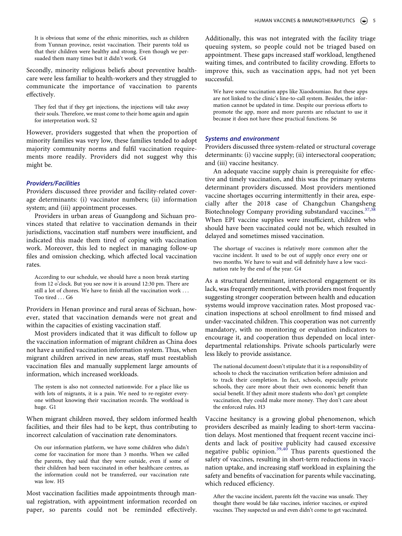It is obvious that some of the ethnic minorities, such as children from Yunnan province, resist vaccination. Their parents told us that their children were healthy and strong. Even though we persuaded them many times but it didn't work. G4

Secondly, minority religious beliefs about preventive healthcare were less familiar to health-workers and they struggled to communicate the importance of vaccination to parents effectively.

They feel that if they get injections, the injections will take away their souls. Therefore, we must come to their home again and again for interpretation work. S2

However, providers suggested that when the proportion of minority families was very low, these families tended to adopt majority community norms and fulfil vaccination requirements more readily. Providers did not suggest why this might be.

# *Providers/Facilities*

Providers discussed three provider and facility-related coverage determinants: (i) vaccinator numbers; (ii) information system; and (iii) appointment processes.

Providers in urban areas of Guangdong and Sichuan provinces stated that relative to vaccination demands in their jurisdictions, vaccination staff numbers were insufficient, and indicated this made them tired of coping with vaccination work. Moreover, this led to neglect in managing follow-up files and omission checking, which affected local vaccination rates.

According to our schedule, we should have a noon break starting from 12 o'clock. But you see now it is around 12:30 pm. There are still a lot of chores. We have to finish all the vaccination work . . . Too tired G6

Providers in Henan province and rural areas of Sichuan, however, stated that vaccination demands were not great and within the capacities of existing vaccination staff.

Most providers indicated that it was difficult to follow up the vaccination information of migrant children as China does not have a unified vaccination information system. Thus, when migrant children arrived in new areas, staff must reestablish vaccination files and manually supplement large amounts of information, which increased workloads.

The system is also not connected nationwide. For a place like us with lots of migrants, it is a pain. We need to re-register everyone without knowing their vaccination records. The workload is huge. G1

When migrant children moved, they seldom informed health facilities, and their files had to be kept, thus contributing to incorrect calculation of vaccination rate denominators.

On our information platform, we have some children who didn't come for vaccination for more than 3 months. When we called the parents, they said that they were outside, even if some of their children had been vaccinated in other healthcare centres, as the information could not be transferred, our vaccination rate was low. H5

Most vaccination facilities made appointments through manual registration, with appointment information recorded on paper, so parents could not be reminded effectively.

Additionally, this was not integrated with the facility triage queuing system, so people could not be triaged based on appointment. These gaps increased staff workload, lengthened waiting times, and contributed to facility crowding. Efforts to improve this, such as vaccination apps, had not yet been successful.

We have some vaccination apps like Xiaodoumiao. But these apps are not linked to the clinic's line-to-call system. Besides, the information cannot be updated in time. Despite our previous efforts to promote the app, more and more parents are reluctant to use it because it does not have these practical functions. S6

# *Systems and environment*

Providers discussed three system-related or structural coverage determinants: (i) vaccine supply; (ii) intersectoral cooperation; and (iii) vaccine hesitancy.

<span id="page-5-0"></span>An adequate vaccine supply chain is prerequisite for effective and timely vaccination, and this was the primary systems determinant providers discussed. Most providers mentioned vaccine shortages occurring intermittently in their area, especially after the 2018 case of Changchun Changsheng Biotechnology Company providing substandard vaccines.<sup>[37](#page-9-13),[38](#page-9-14)</sup> When EPI vaccine supplies were insufficient, children who should have been vaccinated could not be, which resulted in delayed and sometimes missed vaccination.

The shortage of vaccines is relatively more common after the vaccine incident. It used to be out of supply once every one or two months. We have to wait and will definitely have a low vaccination rate by the end of the year. G4

As a structural determinant, intersectoral engagement or its lack, was frequently mentioned, with providers most frequently suggesting stronger cooperation between health and education systems would improve vaccination rates. Most proposed vaccination inspections at school enrollment to find missed and under-vaccinated children. This cooperation was not currently mandatory, with no monitoring or evaluation indicators to encourage it, and cooperation thus depended on local interdepartmental relationships. Private schools particularly were less likely to provide assistance.

The national document doesn't stipulate that it is a responsibility of schools to check the vaccination verification before admission and to track their completion. In fact, schools, especially private schools, they care more about their own economic benefit than social benefit. If they admit more students who don't get complete vaccination, they could make more money. They don't care about the enforced rules. H3

<span id="page-5-1"></span>Vaccine hesitancy is a growing global phenomenon, which providers described as mainly leading to short-term vaccination delays. Most mentioned that frequent recent vaccine incidents and lack of positive publicity had caused excessive negative public opinion.<sup>[39,](#page-9-15)[40](#page-9-16)</sup> Thus parents questioned the safety of vaccines, resulting in short-term reductions in vaccination uptake, and increasing staff workload in explaining the safety and benefits of vaccination for parents while vaccinating, which reduced efficiency.

After the vaccine incident, parents felt the vaccine was unsafe. They thought there would be fake vaccines, inferior vaccines, or expired vaccines. They suspected us and even didn't come to get vaccinated.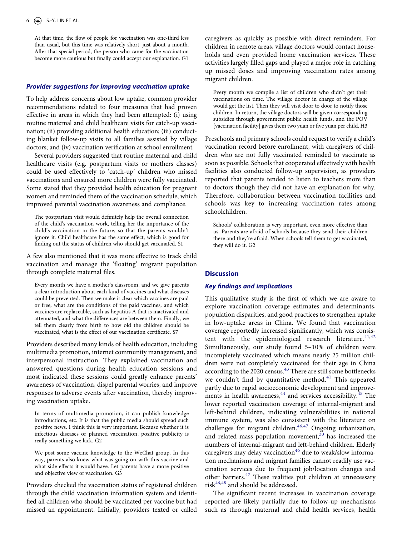At that time, the flow of people for vaccination was one-third less than usual, but this time was relatively short, just about a month. After that special period, the person who came for the vaccination become more cautious but finally could accept our explanation. G1

#### *Provider suggestions for improving vaccination uptake*

To help address concerns about low uptake, common provider recommendations related to four measures that had proven effective in areas in which they had been attempted: (i) using routine maternal and child healthcare visits for catch-up vaccination; (ii) providing additional health education; (iii) conducting blanket follow-up visits to all families assisted by village doctors; and (iv) vaccination verification at school enrollment.

Several providers suggested that routine maternal and child healthcare visits (e.g. postpartum visits or mothers classes) could be used effectively to 'catch-up' children who missed vaccinations and ensured more children were fully vaccinated. Some stated that they provided health education for pregnant women and reminded them of the vaccination schedule, which improved parental vaccination awareness and compliance.

The postpartum visit would definitely help the overall connection of the child's vaccination work, telling her the importance of the child's vaccination in the future, so that the parents wouldn't ignore it. Child healthcare has the same effect, which is good for finding out the status of children who should get vaccinated. S1

A few also mentioned that it was more effective to track child vaccination and manage the 'floating' migrant population through complete maternal files.

Every month we have a mother's classroom, and we give parents a clear introduction about each kind of vaccines and what diseases could be prevented. Then we make it clear which vaccines are paid or free, what are the conditions of the paid vaccines, and which vaccines are replaceable, such as hepatitis A that is inactivated and attenuated, and what the differences are between them. Finally, we tell them clearly from birth to how old the children should be vaccinated, what is the effect of our vaccination certificate. S7

Providers described many kinds of health education, including multimedia promotion, internet community management, and interpersonal instruction. They explained vaccination and answered questions during health education sessions and most indicated these sessions could greatly enhance parents' awareness of vaccination, dispel parental worries, and improve responses to adverse events after vaccination, thereby improving vaccination uptake.

In terms of multimedia promotion, it can publish knowledge introductions, etc. It is that the public media should spread such positive news. I think this is very important. Because whether it is infectious diseases or planned vaccination, positive publicity is really something we lack. G2

We post some vaccine knowledge to the WeChat group. In this way, parents also knew what was going on with this vaccine and what side effects it would have. Let parents have a more positive and objective view of vaccination. G3

Providers checked the vaccination status of registered children through the child vaccination information system and identified all children who should be vaccinated per vaccine but had missed an appointment. Initially, providers texted or called caregivers as quickly as possible with direct reminders. For children in remote areas, village doctors would contact households and even provided home vaccination services. These activities largely filled gaps and played a major role in catching up missed doses and improving vaccination rates among migrant children.

Every month we compile a list of children who didn't get their vaccinations on time. The village doctor in charge of the village would get the list. Then they will visit door to door to notify those children. In return, the village doctors will be given corresponding subsidies through government public health funds, and the POV [vaccination facility] gives them two yuan or five yuan per child. H3

Preschools and primary schools could request to verify a child's vaccination record before enrollment, with caregivers of children who are not fully vaccinated reminded to vaccinate as soon as possible. Schools that cooperated effectively with health facilities also conducted follow-up supervision, as providers reported that parents tended to listen to teachers more than to doctors though they did not have an explanation for why. Therefore, collaboration between vaccination facilities and schools was key to increasing vaccination rates among schoolchildren.

Schools' collaboration is very important, even more effective than us. Parents are afraid of schools because they send their children there and they're afraid. When schools tell them to get vaccinated, they will do it. G2

# **Discussion**

#### *Key findings and implications*

<span id="page-6-3"></span><span id="page-6-2"></span><span id="page-6-1"></span><span id="page-6-0"></span>This qualitative study is the first of which we are aware to explore vaccination coverage estimates and determinants, population disparities, and good practices to strengthen uptake in low-uptake areas in China. We found that vaccination coverage reportedly increased significantly, which was consistent with the epidemiological research literature. $41,42$  $41,42$ Simultaneously, our study found 5–10% of children were incompletely vaccinated which means nearly 25 million children were not completely vaccinated for their age in China according to the 2020 census[.43](#page-9-19) There are still some bottlenecks we couldn't find by quantitative method.<sup>41</sup> This appeared partly due to rapid socioeconomic development and improvements in health awareness,  $44$  and services accessibility.  $45$  The lower reported vaccination coverage of internal-migrant and left-behind children, indicating vulnerabilities in national immune system, was also consistent with the literature on challenges for migrant children.[46,](#page-9-22)[47](#page-9-23) Ongoing urbanization, and related mass population movement, $30$  has increased the numbers of internal-migrant and left-behind children. Elderly caregivers may delay vaccination<sup>[46](#page-9-22)</sup> due to weak/slow information mechanisms and migrant families cannot readily use vaccination services due to frequent job/location changes and other barriers.<sup>47</sup> These realities put children at unnecessary risk<sup>[46](#page-9-22),[48](#page-9-24)</sup> and should be addressed.

<span id="page-6-5"></span><span id="page-6-4"></span>The significant recent increases in vaccination coverage reported are likely partially due to follow-up mechanisms such as through maternal and child health services, health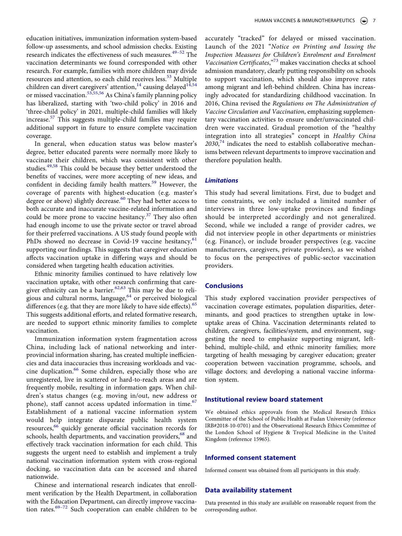<span id="page-7-2"></span>education initiatives, immunization information system-based follow-up assessments, and school admission checks. Existing research indicates the effectiveness of such measures.<sup>49-[52](#page-9-26)</sup> The vaccination determinants we found corresponded with other research. For example, families with more children may divide resources and attention, so each child receives less.<sup>53</sup> Multiple children can divert caregivers' attention,  $14$  causing delayed  $14,54$  $14,54$ or missed vaccination.<sup>53[,55,](#page-9-29)56</sup> As China's family planning policy has liberalized, starting with 'two-child policy' in 2016 and 'three-child policy' in 2021, multiple-child families will likely increase.<sup>[57](#page-10-1)</sup> This suggests multiple-child families may require additional support in future to ensure complete vaccination coverage.

<span id="page-7-5"></span><span id="page-7-4"></span><span id="page-7-3"></span><span id="page-7-1"></span><span id="page-7-0"></span>In general, when education status was below master's degree, better educated parents were normally more likely to vaccinate their children, which was consistent with other studies.<sup>49[,58](#page-10-2)</sup> This could be because they better understood the benefits of vaccines, were more accepting of new ideas, and confident in deciding family health matters.<sup>[59](#page-10-3)</sup> However, the coverage of parents with highest-education (e.g. master's degree or above) slightly decrease.<sup>[60](#page-10-4)</sup> They had better access to both accurate and inaccurate vaccine-related information and could be more prone to vaccine hesitancy.<sup>[37](#page-9-13)</sup> They also often had enough income to use the private sector or travel abroad for their preferred vaccinations. A US study found people with PhDs showed no decrease in Covid-19 vaccine hesitancy,<sup>[61](#page-10-5)</sup> supporting our findings. This suggests that caregiver education affects vaccination uptake in differing ways and should be considered when targeting health education activities.

<span id="page-7-9"></span><span id="page-7-8"></span><span id="page-7-7"></span><span id="page-7-6"></span>Ethnic minority families continued to have relatively low vaccination uptake, with other research confirming that care-giver ethnicity can be a barrier.<sup>[62,](#page-10-6)63</sup> This may be due to religious and cultural norms, language, $64$  or perceived biological differences (e.g. that they are more likely to have side effects).<sup>[65](#page-10-9)</sup> This suggests additional efforts, and related formative research, are needed to support ethnic minority families to complete vaccination.

<span id="page-7-11"></span>Immunization information system fragmentation across China, including lack of national networking and interprovincial information sharing, has created multiple inefficiencies and data inaccuracies thus increasing workloads and vac-cine duplication.<sup>[66](#page-10-10)</sup> Some children, especially those who are unregistered, live in scattered or hard-to-reach areas and are frequently mobile, resulting in information gaps. When children's status changes (e.g. moving in/out, new address or phone), staff cannot access updated information in time.<sup>[67](#page-10-11)</sup> Establishment of a national vaccine information system would help integrate disparate public health system resources,<sup>[66](#page-10-10)</sup> quickly generate official vaccination records for schools, health departments, and vaccination providers,<sup>68</sup> and effectively track vaccination information for each child. This suggests the urgent need to establish and implement a truly national vaccination information system with cross-regional docking, so vaccination data can be accessed and shared nationwide.

<span id="page-7-13"></span><span id="page-7-12"></span><span id="page-7-10"></span>Chinese and international research indicates that enrollment verification by the Health Department, in collaboration with the Education Department, can directly improve vaccination rates.[69–](#page-10-13)[72](#page-10-14) Such cooperation can enable children to be <span id="page-7-14"></span>accurately "tracked" for delayed or missed vaccination. Launch of the 2021 "*Notice on Printing and Issuing the Inspection Measures for Children's Enrolment and Enrolment Vaccination Certificates*,"[73](#page-10-15) makes vaccination checks at school admission mandatory, clearly putting responsibility on schools to support vaccination, which should also improve rates among migrant and left-behind children. China has increasingly advocated for standardizing childhood vaccination. In 2016, China revised the *Regulations on The Administration of Vaccine Circulation and Vaccination*, emphasizing supplementary vaccination activities to ensure under/unvaccinated children were vaccinated. Gradual promotion of the "healthy integration into all strategies" concept in *Healthy China*  2030,<sup>74</sup> indicates the need to establish collaborative mechanisms between relevant departments to improve vaccination and therefore population health.

# <span id="page-7-15"></span>*Limitations*

This study had several limitations. First, due to budget and time constraints, we only included a limited number of interviews in three low-uptake provinces and findings should be interpreted accordingly and not generalized. Second, while we included a range of provider cadres, we did not interview people in other departments or ministries (e.g. Finance), or include broader perspectives (e.g. vaccine manufacturers, caregivers, private providers), as we wished to focus on the perspectives of public-sector vaccination providers.

# **Conclusions**

This study explored vaccination provider perspectives of vaccination coverage estimates, population disparities, determinants, and good practices to strengthen uptake in lowuptake areas of China. Vaccination determinants related to children, caregivers, facilities/system, and environment, suggesting the need to emphasize supporting migrant, leftbehind, multiple-child, and ethnic minority families; more targeting of health messaging by caregiver education; greater cooperation between vaccination programme, schools, and village doctors; and developing a national vaccine information system.

#### **Institutional review board statement**

We obtained ethics approvals from the Medical Research Ethics Committee of the School of Public Health at Fudan University (reference IRB#2018-10-0701) and the Observational Research Ethics Committee of the London School of Hygiene & Tropical Medicine in the United Kingdom (reference 15965).

#### **Informed consent statement**

Informed consent was obtained from all participants in this study.

#### **Data availability statement**

Data presented in this study are available on reasonable request from the corresponding author.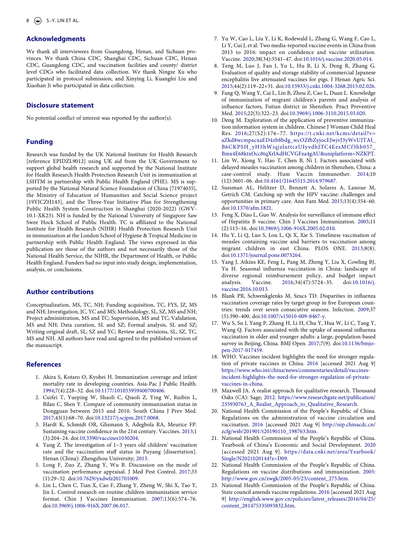# **Acknowledgments**

We thank all interviewees from Guangdong, Henan, and Sichuan provinces. We thank China CDC, Shanghai CDC, Sichuan CDC, Henan CDC, Guangdong CDC, and vaccination facilities and county/ district level CDCs who facilitated data collection. We thank Ningze Xu who participated in protocol submission, and Xinying Li, Kuangfei Liu and Xiaohan Ji who participated in data collection.

#### **Disclosure statement**

No potential conflict of interest was reported by the author(s).

### **Funding**

Research was funded by the UK National Institute for Health Research [reference EPIDZL9012] using UK aid from the UK Government to support global health research and supported by the National Institute for Health Research Health Protection Research Unit in immunization at LSHTM in partnership with Public Health England (PHE). MS is supported by the National Natural Science Foundation of China [71974035], the Ministry of Education of Humanities and Social Science project [19YJCZH143], and the Three-Year Initiative Plan for Strengthening Public Health System Construction in Shanghai (2020-2022) (GWV-10.1-XK23). NH is funded by the National University of Singapore Saw Swee Hock School of Public Health. TC is affiliated to the National Institute for Health Research (NIHR) Health Protection Research Unit in immunization at the London School of Hygiene & Tropical Medicine in partnership with Public Health England. The views expressed in this publication are those of the authors and not necessarily those of the National Health Service, the NIHR, the Department of Health, or Public Health England. Funders had no input into study design, implementation, analysis, or conclusions.

# **Author contributions**

Conceptualization, MS, TC, NH; Funding acquisition, TC, FYS, JZ, MS and NH; Investigation, JC, YC and MS; Methodology, SL, SZ, MS and NH; Project administration, MS and TC; Supervision, MS and TC; Validation, MS and NH; Data curation, SL and SZ; Formal analysis, SL and SZ; Writing original draft, SL, SZ and YC; Review and revisions, SL, SZ, TC, MS and NH. All authors have read and agreed to the published version of the manuscript.

#### **References**

- <span id="page-8-0"></span>1. Akira S, Kotaro O, Kyohei H. Immunization coverage and infant mortality rate in developing countries. Asia-Pac J Public Health. [1994;](#page-1-5)7(4):228–32. doi:[10.1177/101053959400700406](https://doi.org/10.1177/101053959400700406).
- <span id="page-8-1"></span>2. Cuifei T, Yueping W, Shaoli C, Qiaoli Z, Ying W, Ruibin L, Bilan C, Shen Y. Compare of community immunization status in Dongguan between 2015 and 2010. South China J Prev Med. [2017;](#page-1-6)43(1):68–70. doi:[10.13217/j.scjpm.2017.0068](https://doi.org/10.13217/j.scjpm.2017.0068).
- <span id="page-8-2"></span>3. Hardt K, Schmidt OR, Glismann S, Adegbola RA, Meurice FP. Sustaining vaccine confidence in the 21st century. Vaccines. [2013;](#page-1-7)1 (3):204–24. doi:[10.3390/vaccines1030204.](https://doi.org/10.3390/vaccines1030204)
- <span id="page-8-3"></span>4. Yang Z. The investigation of 1~3 years old children' vaccination rate and the vaccination staff status in Puyang [dissertation]. Henan (China): Zhengzhou University; [2013.](#page-1-8)
- <span id="page-8-4"></span>5. Long F, Zuo Z, Zhang Y, Wu B. Discussion on the mode of vaccination performance appraisal. J Med Pest Control. [2017;](#page-1-8)33 (1):29–32. doi:[10.7629/yxdwfz201701009.](https://doi.org/10.7629/yxdwfz201701009)
- <span id="page-8-5"></span>6. Lin L, Chen C, Tian X, Cao F, Zhang Y, Zheng W, Shi X, Tao Y, Jin L. Control research on routine children immunization service format. Chin J Vaccines Immunization. [2007;](#page-1-9)13(6):574–76. doi:[10.3969/j.1006-916X.2007.06.017](https://doi.org/10.3969/j.1006-916X.2007.06.017).
- <span id="page-8-6"></span>7. Yu W, Cao L, Liu Y, Li K, Rodewald L, Zhang G, Wang F, Cao L, Li Y, Cui J, et al. Two media-reported vaccine events in China from 2013 to 2016: impact on confidence and vaccine utilization. Vaccine. [2020](#page-1-10);38(34):5541–47. doi:[10.1016/j.vaccine.2020.05.014](https://doi.org/10.1016/j.vaccine.2020.05.014).
- <span id="page-8-7"></span>8. Teng M, Luo J, Fan J, Yu L, Hu B, Li X, Deng R, Zhang G. Evaluation of quality and storage stability of commercial Japanese encephalitis live attenuated vaccines for pigs. J Henan Agric Sci. [2015;](#page-1-10)44(2):119–22+31. doi:[10.15933/j.cnki.1004-3268.2015.02.026](https://doi.org/10.15933/j.cnki.1004-3268.2015.02.026).
- <span id="page-8-8"></span>9. Fang Q, Wang Y, Cai L, Lin B, Zhou Z, Cao L, Duan L. Knowledge of immunization of migrant children's parents and analysis of influence factors, Futian district in Shenzhen. Pract Preventive Med. [2015;](#page-1-11)22(3):322–23. doi:[10.3969/j.1006-3110.2015.03.020](https://doi.org/10.3969/j.1006-3110.2015.03.020).
- <span id="page-8-9"></span>10. Deng M. Exploration of the application of preventive immunization information system in children. Chinese J Woman Child Heal Res. [2016](#page-1-12);27(S2):176–77. [https://t.cnki.net/kcms/detail?v=](https://t.cnki.net/kcms/detail?v=aZkd8wcmpacxaED4zb8bdg_wcOZfbZyjocEJwjvJ3yWvUJTAI_B6CKPSH_yH5hWiqjzluttczUIyvdhJTC4EezMCf3hb057_Bmx4E68ktxOcc8tqXrlAdHCVGFza4gAU%26uniplatform=NZKPT) [aZkd8wcmpacxaED4zb8bdg\\_wcOZfbZyjocEJwjvJ3yWvUJTAI\\_](https://t.cnki.net/kcms/detail?v=aZkd8wcmpacxaED4zb8bdg_wcOZfbZyjocEJwjvJ3yWvUJTAI_B6CKPSH_yH5hWiqjzluttczUIyvdhJTC4EezMCf3hb057_Bmx4E68ktxOcc8tqXrlAdHCVGFza4gAU%26uniplatform=NZKPT) [B6CKPSH\\_yH5hWiqjzluttczUIyvdhJTC4EezMCf3hb057\\_](https://t.cnki.net/kcms/detail?v=aZkd8wcmpacxaED4zb8bdg_wcOZfbZyjocEJwjvJ3yWvUJTAI_B6CKPSH_yH5hWiqjzluttczUIyvdhJTC4EezMCf3hb057_Bmx4E68ktxOcc8tqXrlAdHCVGFza4gAU%26uniplatform=NZKPT)  [Bmx4E68ktxOcc8tqXrlAdHCVGFza4gAU&uniplatform=NZKPT.](https://t.cnki.net/kcms/detail?v=aZkd8wcmpacxaED4zb8bdg_wcOZfbZyjocEJwjvJ3yWvUJTAI_B6CKPSH_yH5hWiqjzluttczUIyvdhJTC4EezMCf3hb057_Bmx4E68ktxOcc8tqXrlAdHCVGFza4gAU%26uniplatform=NZKPT)
- <span id="page-8-10"></span>11. Lin W, Xiong Y, Hao T, Chen B, Ni J. Factors associated with delayed measles vaccination among children in Shenzhen, China: a case-control study. Hum Vaccin Immunother. [2014;](#page-1-13)10 (12):3601–06. doi:[10.4161/21645515.2014.979687](https://doi.org/10.4161/21645515.2014.979687).
- <span id="page-8-11"></span>12. Sussman AL, Helitzer D, Bennett A, Solares A, Lanoue M, Getrich CM. Catching up with the HPV vaccine: challenges and opportunities in primary care. Ann Fam Med. [2015](#page-1-13);13(4):354–60. doi:[10.1370/afm.1821](https://doi.org/10.1370/afm.1821).
- <span id="page-8-12"></span>13. Feng X, Diao L, Guo W. Analysis for surveillance of immune effect of Hepatitis B vaccine. Chin J Vaccines Immunization. [2005;](#page-1-13)11 (2):115–16. doi:[10.3969/j.1006-916X.2005.02.010.](https://doi.org/10.3969/j.1006-916X.2005.02.010)
- <span id="page-8-13"></span>14. Hu Y, Li Q, Luo S, Lou L, Qi X, Xie S. Timeliness vaccination of measles containing vaccine and barriers to vaccination among migrant children in east China. PLOS ONE. [2013](#page-1-14);8(8). doi:[10.1371/journal.pone.0073264.](https://doi.org/10.1371/journal.pone.0073264)
- <span id="page-8-14"></span>15. Yang J, Atkins KE, Feng L, Pang M, Zheng Y, Liu X, Cowling BJ, Yu H. Seasonal influenza vaccination in China: landscape of diverse regional reimbursement policy, and budget impact analysis. Vaccine. [2016](#page-1-15);34(47):5724–35. doi:[10.1016/j.](https://doi.org/10.1016/j.vaccine.2016.10.013) [vaccine.2016.10.013](https://doi.org/10.1016/j.vaccine.2016.10.013).
- <span id="page-8-15"></span>16. Blank PR, Schwenkglenks M, Szucs TD. Disparities in influenza vaccination coverage rates by target group in five European countries: trends over seven consecutive seasons. Infection. [2009;](#page-1-15)37 (5):390–400. doi:[10.1007/s15010-009-8467-y.](https://doi.org/10.1007/s15010-009-8467-y)
- <span id="page-8-16"></span>17. Wu S, Su J, Yang P, Zhang H, Li H, Chu Y, Hua W, Li C, Tang Y, Wang Q. Factors associated with the uptake of seasonal influenza vaccination in older and younger adults: a large, population-based survey in Beijing, China. BMJ Open. [2017;](#page-1-16)7(9). doi:[10.1136/bmjo](https://doi.org/10.1136/bmjopen-2017-017459)[pen-2017-017459.](https://doi.org/10.1136/bmjopen-2017-017459)
- <span id="page-8-17"></span>18. WHO. Vaccines incident highlights the need for stronger regulation of private vaccines in China. [2016](#page-1-16) [accessed 2021 Aug 9] [https://www.who.int/china/news/commentaries/detail/vaccines](https://www.who.int/china/news/commentaries/detail/vaccines-incident-highlights-the-need-for-stronger-regulation-of-private-vaccines-in-china)[incident-highlights-the-need-for-stronger-regulation-of-private](https://www.who.int/china/news/commentaries/detail/vaccines-incident-highlights-the-need-for-stronger-regulation-of-private-vaccines-in-china)[vaccines-in-china.](https://www.who.int/china/news/commentaries/detail/vaccines-incident-highlights-the-need-for-stronger-regulation-of-private-vaccines-in-china)
- <span id="page-8-18"></span>19. Maxwell JA. A realist approach for qualitative research. Thousand Oaks (CA): Sage; [2012](#page-1-17). [https://www.researchgate.net/publication/](https://www.researchgate.net/publication/235930763_A_Realist_Approach_to_Qualitative_Research) [235930763\\_A\\_Realist\\_Approach\\_to\\_Qualitative\\_Research.](https://www.researchgate.net/publication/235930763_A_Realist_Approach_to_Qualitative_Research)
- <span id="page-8-19"></span>20. National Health Commission of the People's Republic of China. Regulations on the administration of vaccine circulation and vaccination. [2016](#page-1-18) [accessed 2021 Aug 9] [http://nip.chinacdc.cn/](http://nip.chinacdc.cn/zcfg/wsb/201901/t20190110_198763.htm)  [zcfg/wsb/201901/t20190110\\_198763.htm](http://nip.chinacdc.cn/zcfg/wsb/201901/t20190110_198763.htm).
- <span id="page-8-20"></span>21. National Health Commission of the People's Republic of China. Yearbook of China's Economic and Social Development. [2020](#page-1-19) [accessed 2021 Aug 9]. [https://data.cnki.net/area/Yearbook/](https://data.cnki.net/area/Yearbook/Single/N2021020144?z=D09) [Single/N2021020144?z=D09](https://data.cnki.net/area/Yearbook/Single/N2021020144?z=D09).
- <span id="page-8-21"></span>22. National Health Commission of the People's Republic of China. Regulations on vaccine distributions and immunization. [2005](#page-1-20): [http://www.gov.cn/zwgk/2005-05/23/content\\_275.htm](http://www.gov.cn/zwgk/2005-05/23/content_275.htm).
- <span id="page-8-22"></span>23. National Health Commission of the People's Republic of China. State council amends vaccine regulations. [2016](#page-1-21) [accessed 2021 Aug 9] [http://english.www.gov.cn/policies/latest\\_releases/2016/04/25/](http://english.www.gov.cn/policies/latest_releases/2016/04/25/content_281475335093832.htm) [content\\_281475335093832.htm.](http://english.www.gov.cn/policies/latest_releases/2016/04/25/content_281475335093832.htm)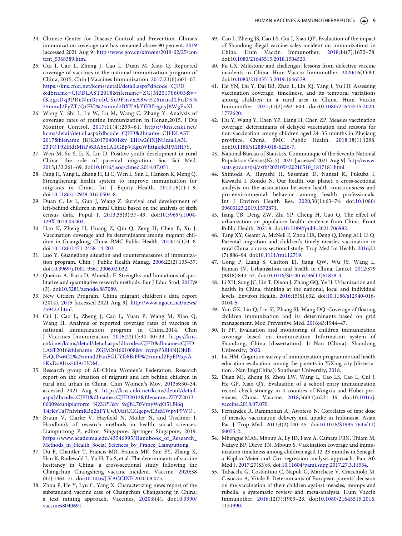- <span id="page-9-0"></span>24. Chinese Center for Disease Control and Prevention. China's immunization coverage rate has remained above 90 percent. [2019](#page-1-22)  [accessed 2021 Aug 9] [http://www.gov.cn/xinwen/2019-02/25/con](http://www.gov.cn/xinwen/2019-02/25/content_5368389.htm) [tent\\_5368389.htm.](http://www.gov.cn/xinwen/2019-02/25/content_5368389.htm)
- <span id="page-9-1"></span>25. Cui J, Cao L, Zheng J, Cao L, Duan M, Xiao Q. Reported coverage of vaccines in the national immunization program of China, 2015. Chin J Vaccines Immunization. [2017](#page-1-23);23(6):601–07. [https://kns.cnki.net/kcms/detail/detail.aspx?dbcode=CJFD](https://kns.cnki.net/kcms/detail/detail.aspx?dbcode=CJFD%26dbname=CJFDLAST2018%26filename=ZGJM201706003%26v=fKogaDq3PReNmRrobUSo9FmvxA8w%25mmd2FuD5%25mmd2FyZT7QrFVl%25mmd2BXYAkYGBft5guyJ8WgEuXl)  [&dbname=CJFDLAST2018&filename=ZGJM201706003&v=](https://kns.cnki.net/kcms/detail/detail.aspx?dbcode=CJFD%26dbname=CJFDLAST2018%26filename=ZGJM201706003%26v=fKogaDq3PReNmRrobUSo9FmvxA8w%25mmd2FuD5%25mmd2FyZT7QrFVl%25mmd2BXYAkYGBft5guyJ8WgEuXl) [fKogaDq3PReNmRrobUSo9FmvxA8w%25mmd2FuD5%](https://kns.cnki.net/kcms/detail/detail.aspx?dbcode=CJFD%26dbname=CJFDLAST2018%26filename=ZGJM201706003%26v=fKogaDq3PReNmRrobUSo9FmvxA8w%25mmd2FuD5%25mmd2FyZT7QrFVl%25mmd2BXYAkYGBft5guyJ8WgEuXl)  [25mmd2FyZT7QrFVl%25mmd2BXYAkYGBft5guyJ8WgEuXl.](https://kns.cnki.net/kcms/detail/detail.aspx?dbcode=CJFD%26dbname=CJFDLAST2018%26filename=ZGJM201706003%26v=fKogaDq3PReNmRrobUSo9FmvxA8w%25mmd2FuD5%25mmd2FyZT7QrFVl%25mmd2BXYAkYGBft5guyJ8WgEuXl)
- <span id="page-9-2"></span>26. Wang Y, Shi L, Lv W, Lu M, Wang C, Zhang Y. Analysis of coverage rates of routine immunization in Henan,2015. J Dis Monitor Control. [2017;](#page-2-0)11(4):259–61. [https://kns.cnki.net/](https://kns.cnki.net/kcms/detail/detail.aspx?dbcode=CJFD%26dbname=CJFDLAST2017%26filename=JBJK201704001%26v=ElHw26lNJNEzaalIA3L23TOT9ZHdtMtiPj6BAbx1AlIGBpVKguWhttgkjkRPMHDY) [kcms/detail/detail.aspx?dbcode=CJFD&dbname=CJFDLAST](https://kns.cnki.net/kcms/detail/detail.aspx?dbcode=CJFD%26dbname=CJFDLAST2017%26filename=JBJK201704001%26v=ElHw26lNJNEzaalIA3L23TOT9ZHdtMtiPj6BAbx1AlIGBpVKguWhttgkjkRPMHDY) [2017&filename=JBJK201704001&v=ElHw26lNJNEzaalIA3L](https://kns.cnki.net/kcms/detail/detail.aspx?dbcode=CJFD%26dbname=CJFDLAST2017%26filename=JBJK201704001%26v=ElHw26lNJNEzaalIA3L23TOT9ZHdtMtiPj6BAbx1AlIGBpVKguWhttgkjkRPMHDY)  [23TOT9ZHdtMtiPj6BAbx1AlIGBpVKguWhttgkjkRPMHDY.](https://kns.cnki.net/kcms/detail/detail.aspx?dbcode=CJFD%26dbname=CJFDLAST2017%26filename=JBJK201704001%26v=ElHw26lNJNEzaalIA3L23TOT9ZHdtMtiPj6BAbx1AlIGBpVKguWhttgkjkRPMHDY)
- <span id="page-9-3"></span>27. Wen M, Su S, Li X, Lin D. Positive youth development in rural China: the role of parental migration. Soc Sci Med. [2015;](#page-2-1)132:261–69. doi:[10.1016/j.socscimed.2014.07.051.](https://doi.org/10.1016/j.socscimed.2014.07.051)
- <span id="page-9-4"></span>28. Fang H, Yang L, Zhang H, Li C, Wen L, Sun L, Hanson K, Meng Q. Strengthening health system to improve immunization for migrants in China. Int J Equity Health. [2017](#page-2-2);16(1):1–9. doi:[10.1186/s12939-016-0504-8.](https://doi.org/10.1186/s12939-016-0504-8)
- <span id="page-9-5"></span>29. Duan C, Lv L, Guo J, Wang Z. Survival and development of left-behind children in rural China: based on the analysis of sixth census data. Popul J. [2013;](#page-2-3)35(3):37–49. doi:[10.3969/j.1004-](https://doi.org/10.3969/j.1004-129X.2013.03.004) [129X.2013.03.004.](https://doi.org/10.3969/j.1004-129X.2013.03.004)
- <span id="page-9-6"></span>30. Han K, Zheng H, Huang Z, Qiu Q, Zeng H, Chen B, Xu J. Vaccination coverage and its determinants among migrant children in Guangdong, China. BMC Public Health. [2014](#page-2-1);14(1):1–8. doi:[10.1186/1471-2458-14-203.](https://doi.org/10.1186/1471-2458-14-203)
- <span id="page-9-7"></span>31. Luo Y. Guangdong situation and countermeasures of immunization program. Chin J Public Health Manag. [2006](#page-2-4);22(2):135–37. doi:[10.3969/j.1001-9561.2006.02.032.](https://doi.org/10.3969/j.1001-9561.2006.02.032)
- <span id="page-9-8"></span>32. Queirós A, Faria D, Almeida F. Strengths and limitations of qualitative and quantitative research methods. Eur J Educ Stud. [2017;](#page-2-5)9 (3). doi:[10.5281/zenodo.887089](https://doi.org/10.5281/zenodo.887089).
- <span id="page-9-9"></span>33. New Citizen Program. China migrant children's data report (2014). [2015](#page-2-6) [accessed 2021 Aug 9]. [http://www.ngocn.net/news/](http://www.ngocn.net/news/359422.html) [359422.html](http://www.ngocn.net/news/359422.html).
- <span id="page-9-10"></span>34. Cui J, Cao L, Zheng J, Cao L, Yuan P, Wang M, Xiao Q, Wang H. Analysis of reported coverage rates of vaccines in national immunization program in China,2014. Chin J Vaccines Immunization. [2016](#page-2-7);22(1):34–40+33. [https://kns.](https://kns.cnki.net/kcms/detail/detail.aspx?dbcode=CJFD%26dbname=CJFDLAST2016%26filename=ZGJM201601008%26v=nynpP3Rl4NJOhlBEvQcPw6G2%25mmd2FanFGUYfe8BiFF%25mmd2FpEP4qvA5KxDo8Itzs50lAtUOM) [cnki.net/kcms/detail/detail.aspx?dbcode=CJFD&dbname=CJFD](https://kns.cnki.net/kcms/detail/detail.aspx?dbcode=CJFD%26dbname=CJFDLAST2016%26filename=ZGJM201601008%26v=nynpP3Rl4NJOhlBEvQcPw6G2%25mmd2FanFGUYfe8BiFF%25mmd2FpEP4qvA5KxDo8Itzs50lAtUOM) [LAST2016&filename=ZGJM201601008&v=nynpP3Rl4NJOhlB](https://kns.cnki.net/kcms/detail/detail.aspx?dbcode=CJFD%26dbname=CJFDLAST2016%26filename=ZGJM201601008%26v=nynpP3Rl4NJOhlBEvQcPw6G2%25mmd2FanFGUYfe8BiFF%25mmd2FpEP4qvA5KxDo8Itzs50lAtUOM) [EvQcPw6G2%25mmd2FanFGUYfe8BiFF%25mmd2FpEP4qvA](https://kns.cnki.net/kcms/detail/detail.aspx?dbcode=CJFD%26dbname=CJFDLAST2016%26filename=ZGJM201601008%26v=nynpP3Rl4NJOhlBEvQcPw6G2%25mmd2FanFGUYfe8BiFF%25mmd2FpEP4qvA5KxDo8Itzs50lAtUOM) [5KxDo8Itzs50lAtUOM.](https://kns.cnki.net/kcms/detail/detail.aspx?dbcode=CJFD%26dbname=CJFDLAST2016%26filename=ZGJM201601008%26v=nynpP3Rl4NJOhlBEvQcPw6G2%25mmd2FanFGUYfe8BiFF%25mmd2FpEP4qvA5KxDo8Itzs50lAtUOM)
- <span id="page-9-11"></span>35. Research group of All-China Women's Federation. Research report on the situation of migrant and left behind children in rural and urban in China. Chin Women's Mov. [2013;](#page-2-8)6:30–34. accessed 2021 Aug 9. [https://kns.cnki.net/kcms/detail/detail.](https://kns.cnki.net/kcms/detail/detail.aspx?dbcode=CJFD%26dbname=CJFD2013%26filename=ZFYZ201306009%26uniplatform=NZKPT%26v=9qJhL70VmyWdO5LBl6qT4rKvTaJ7nIvimRBq2hPYUwDAitCCGgepwEBzMWpvP9WO) [aspx?dbcode=CJFD&dbname=CJFD2013&filename=ZFYZ2013](https://kns.cnki.net/kcms/detail/detail.aspx?dbcode=CJFD%26dbname=CJFD2013%26filename=ZFYZ201306009%26uniplatform=NZKPT%26v=9qJhL70VmyWdO5LBl6qT4rKvTaJ7nIvimRBq2hPYUwDAitCCGgepwEBzMWpvP9WO)  [06009&uniplatform=NZKPT&v=9qJhL70VmyWdO5LBl6q](https://kns.cnki.net/kcms/detail/detail.aspx?dbcode=CJFD%26dbname=CJFD2013%26filename=ZFYZ201306009%26uniplatform=NZKPT%26v=9qJhL70VmyWdO5LBl6qT4rKvTaJ7nIvimRBq2hPYUwDAitCCGgepwEBzMWpvP9WO)  [T4rKvTaJ7nIvimRBq2hPYUwDAitCCGgepwEBzMWpvP9WO](https://kns.cnki.net/kcms/detail/detail.aspx?dbcode=CJFD%26dbname=CJFD2013%26filename=ZFYZ201306009%26uniplatform=NZKPT%26v=9qJhL70VmyWdO5LBl6qT4rKvTaJ7nIvimRBq2hPYUwDAitCCGgepwEBzMWpvP9WO) .
- <span id="page-9-12"></span>36. Braun V, Clarke V, Hayfield N, Moller N, and Tischner I. Handbook of research methods in health social sciences. Liamputtong P, editor. Singapore: Springer Singapore; [2019](#page-2-9). [https://www.academia.edu/43546995/Handbook\\_of\\_Research\\_](https://www.academia.edu/43546995/Handbook_of_Research_Methods_in_Health_Social_Sciences_by_Pranee_Liamputtong) [Methods\\_in\\_Health\\_Social\\_Sciences\\_by\\_Pranee\\_Liamputtong.](https://www.academia.edu/43546995/Handbook_of_Research_Methods_in_Health_Social_Sciences_by_Pranee_Liamputtong)
- <span id="page-9-13"></span>37. Du F, Chantler T, Francis MR, Francis MR, Sun FY, Zhang X, Han K, Rodewald L, Yu H, Tu S, et al. The determinants of vaccine hesitancy in China: a cross-sectional study following the Changchun Changsheng vaccine incident. Vaccine. [2020;](#page-5-0)38 (47):7464–71. doi:[10.1016/J.VACCINE.2020.09.075](https://doi.org/10.1016/J.VACCINE.2020.09.075).
- <span id="page-9-14"></span>38. Zhou P, He Y, Lyu C, Yang X. Characterizing news report of the substandard vaccine case of Changchun Changsheng in China: a text mining approach. Vaccines. [2020](#page-5-0);8(4). doi:[10.3390/](https://doi.org/10.3390/vaccines8040691) [vaccines8040691](https://doi.org/10.3390/vaccines8040691).
- <span id="page-9-15"></span>39. Cao L, Zheng JS, Cao LS, Cui J, Xiao QY. Evaluation of the impact of Shandong illegal vaccine sales incident on immunizations in China. Hum Vaccin Immunother. [2018](#page-5-1);14(7):1672–78. doi:[10.1080/21645515.2018.1504523](https://doi.org/10.1080/21645515.2018.1504523).
- <span id="page-9-16"></span>40. Fu CX. Milestone and challenges: lessons from defective vaccine incidents in China. Hum Vaccin Immunother. [2020;](#page-5-1)16(1):80. doi:[10.1080/21645515.2019.1646579](https://doi.org/10.1080/21645515.2019.1646579).
- <span id="page-9-17"></span>41. He YN, Liu Y, Dai BB, Zhao L, Lin JQ, Yang J, Yu HJ. Assessing vaccination coverage, timeliness, and its temporal variations among children in a rural area in China. Hum Vaccin Immunother. [2021;](#page-6-0)17(2):592–600. doi:[10.1080/21645515.2020.](https://doi.org/10.1080/21645515.2020.1772620) [1772620.](https://doi.org/10.1080/21645515.2020.1772620)
- <span id="page-9-18"></span>42. Hu Y, Wang Y, Chen YP, Liang H, Chen ZP. Measles vaccination coverage, determinants of delayed vaccination and reasons for non-vaccination among children aged 24–35 months in Zhejiang province, China. BMC Public Health. [2018](#page-6-1);18(1):1298. doi:[10.1186/s12889-018-6226-7.](https://doi.org/10.1186/s12889-018-6226-7)
- <span id="page-9-19"></span>43. National Bureau of Statistics. Communique of the Seventh National Population Census(No.5). [2021](#page-6-2) [accessed 2021 Aug 9]. [http://www.](http://www.stats.gov.cn/tjsj/zxfb/202105/t20210510_1817181.html)  [stats.gov.cn/tjsj/zxfb/202105/t20210510\\_1817181.html.](http://www.stats.gov.cn/tjsj/zxfb/202105/t20210510_1817181.html)
- <span id="page-9-20"></span>44. Shimoda A, Hayashi H, Sussman D, Nansai K, Fukuba I, Kawachi I, Kondo N. Our health, our planet: a cross-sectional analysis on the association between health consciousness and pro-environmental behavior among health professionals. Int J Environ Health Res. [2020](#page-6-3);30(1):63–74. doi:[10.1080/](https://doi.org/10.1080/09603123.2019.1572871) [09603123.2019.1572871.](https://doi.org/10.1080/09603123.2019.1572871)
- <span id="page-9-21"></span>45. Jiang TB, Deng ZW, Zhi YP, Cheng H, Gao Q. The effect of urbanization on population health: evidence from China. Front Public Health. [2021](#page-6-3):9. doi:[10.3389/fpubh.2021.706982.](https://doi.org/10.3389/fpubh.2021.706982)
- <span id="page-9-22"></span>46. Tang XY, Geater A, McNeil E, Zhou HX, Deng Q, Dong AH, Li Q. Parental migration and children's timely measles vaccination in rural China: a cross-sectional study. Trop Med Int Health. [2016;](#page-6-4)21 (7):886–94. doi:[10.1111/tmi.12719.](https://doi.org/10.1111/tmi.12719)
- <span id="page-9-23"></span>47. Gong P, Liang S, Carlton EJ, Jiang QW, Wu JY, Wang L, Remais JV. Urbanisation and health in China. Lancet. [2012;](#page-6-5)379 (9818):843–52. doi:[10.1016/S0140-6736\(11\)61878-3](https://doi.org/10.1016/S0140-6736(11)61878-3).
- <span id="page-9-24"></span>48. Li XH, Song JC, Lin T, Dixon J, Zhang GQ, Ye H. Urbanization and health in China, thinking at the national, local and individual levels. Environ Health. [2016;](#page-6-4)15(S1):32. doi:[10.1186/s12940-016-](https://doi.org/10.1186/s12940-016-0104-5) [0104-5.](https://doi.org/10.1186/s12940-016-0104-5)
- <span id="page-9-25"></span>49. Yan GX, Liu Q, Lin SJ, Zhang SJ, Wang DQ. Coverage of floating children immunization and its determinants based on grid management. Mod Preventive Med. [2016;](#page-7-0)43:1944–47.
- 50. Ji PP. Evaluation and monitoring of children immunization coverage based on immunization Information system of Shandong, China [dissertation]. Ji Nan (China): Shandong University; 2020.
- 51. Lu HM. Cognition survey of immunization programme and health education evaluation among the parents in YiXing city [dissertation]. Nan Jing(China): Southeast University; 2018.
- <span id="page-9-26"></span>52. Duan MJ, Zheng JS, Zhou LW, Wang L, Cao LS, Cao L, Cui J, He GP, Xiao QY. Evaluation of a school entry immunization record check strategy in 4 counties of Ningxia and Hubei provinces, China. Vaccine. 2018;36(41):6231–36. doi:[10.1016/j.](https://doi.org/10.1016/j.vaccine.2018.07.070) [vaccine.2018.07.070](https://doi.org/10.1016/j.vaccine.2018.07.070).
- <span id="page-9-27"></span>53. Fernandez R, Rammohan A, Awofeso N. Correlates of first dose of measles vaccination delivery and uptake in Indonesia. Asian Pac J Trop Med. [2011](#page-7-1);4(2):140–45. doi:[10.1016/S1995-7645\(11\)](https://doi.org/10.1016/S1995-7645(11)60055-2)  [60055-2.](https://doi.org/10.1016/S1995-7645(11)60055-2)
- <span id="page-9-28"></span>54. Mbengue MAS, Mboup A, Ly ID, Faye A, Camara FBN, Thiam M, Ndiaye BP, Dieye TN, Mboup S. Vaccination coverage and immunization timeliness among children aged 12-23 months in Senegal: a Kaplan-Meier and Cox regression analysis approach. Pan Afr Med J. [2017;](#page-7-2)27(S3):8. doi:[10.11604/pamj.supp.2017.27.3.11534](https://doi.org/10.11604/pamj.supp.2017.27.3.11534).
- <span id="page-9-29"></span>55. Tabacchi G, Costantino C, Napoli G, Marchese V, Cracchiolo M, Casuccio A, Vitale F. Determinants of European parents' decision on the vaccination of their children against measles, mumps and rubella: a systematic review and meta-analysis. Hum Vaccin Immunother. [2016;](#page-7-1)12(7):1909–23. doi:[10.1080/21645515.2016.](https://doi.org/10.1080/21645515.2016.1151990) [1151990.](https://doi.org/10.1080/21645515.2016.1151990)